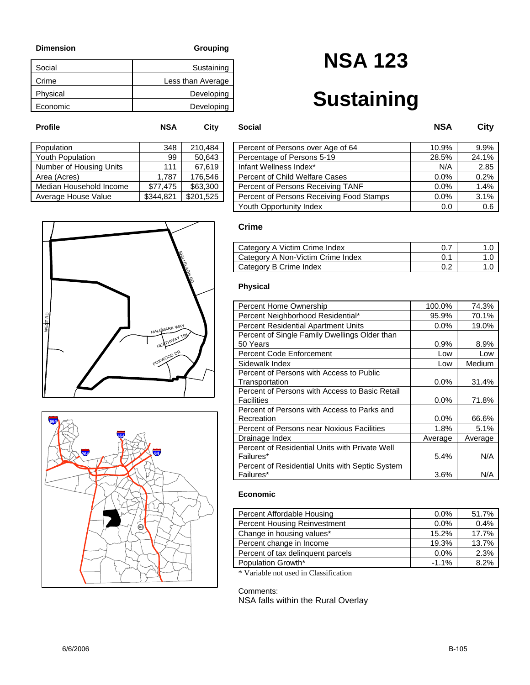| Social   | Sustaining        |
|----------|-------------------|
| Crime    | Less than Average |
| Physical | Developing        |
| Economic | Developing        |

# **NSA 123**

# **Sustaining**

| Population              | 348       | 210,484   |
|-------------------------|-----------|-----------|
| <b>Youth Population</b> | 99        | 50.643    |
| Number of Housing Units | 111       | 67,619    |
| Area (Acres)            | 1,787     | 176,546   |
| Median Household Income | \$77,475  | \$63,300  |
| Average House Value     | \$344,821 | \$201,525 |
|                         |           |           |

| Population              | 348       | 210.484   | Percent of Persons over Age of 64        | 10.9% | 9.9%  |
|-------------------------|-----------|-----------|------------------------------------------|-------|-------|
| Youth Population        | 99        | 50,643    | Percentage of Persons 5-19               | 28.5% | 24.1% |
| Number of Housing Units | 111       | 67,619    | Infant Wellness Index*                   | N/A   | 2.85  |
| Area (Acres)            | 1.787     | 176,546   | Percent of Child Welfare Cases           | 0.0%  | 0.2%  |
| Median Household Income | \$77.475  | \$63,300  | Percent of Persons Receiving TANF        | 0.0%  | 1.4%  |
| Average House Value     | \$344.821 | \$201.525 | Percent of Persons Receiving Food Stamps | 0.0%  | 3.1%  |
|                         |           |           | Youth Opportunity Index                  | 0.0   | 0.6   |

# WE\$T RD SHILLEL DEL RD HALLMARK WAY FOXWOOD DR HEATHWAY TRY



### **Crime**

**Profile NSA City Social NSA City**

| Category A Victim Crime Index     |  |
|-----------------------------------|--|
| Category A Non-Victim Crime Index |  |
| Category B Crime Index            |  |

### **Physical**

| Percent Home Ownership                          | 100.0%  | 74.3%   |
|-------------------------------------------------|---------|---------|
| Percent Neighborhood Residential*               | 95.9%   | 70.1%   |
| <b>Percent Residential Apartment Units</b>      | $0.0\%$ | 19.0%   |
| Percent of Single Family Dwellings Older than   |         |         |
| 50 Years                                        | 0.9%    | 8.9%    |
| <b>Percent Code Enforcement</b>                 | Low     | Low     |
| Sidewalk Index                                  | Low     | Medium  |
| Percent of Persons with Access to Public        |         |         |
| Transportation                                  | 0.0%    | 31.4%   |
| Percent of Persons with Access to Basic Retail  |         |         |
| <b>Facilities</b>                               | $0.0\%$ | 71.8%   |
| Percent of Persons with Access to Parks and     |         |         |
| Recreation                                      | $0.0\%$ | 66.6%   |
| Percent of Persons near Noxious Facilities      | 1.8%    | 5.1%    |
| Drainage Index                                  | Average | Average |
| Percent of Residential Units with Private Well  |         |         |
| Failures*                                       | 5.4%    | N/A     |
| Percent of Residential Units with Septic System |         |         |
| Failures*                                       | 3.6%    | N/A     |

### **Economic**

| Percent Affordable Housing        | $0.0\%$ | 51.7% |
|-----------------------------------|---------|-------|
| Percent Housing Reinvestment      | $0.0\%$ | 0.4%  |
| Change in housing values*         | 15.2%   | 17.7% |
| Percent change in Income          | 19.3%   | 13.7% |
| Percent of tax delinguent parcels | $0.0\%$ | 2.3%  |
| Population Growth*                | $-1.1%$ | 8.2%  |

\* Variable not used in Classification

#### Comments: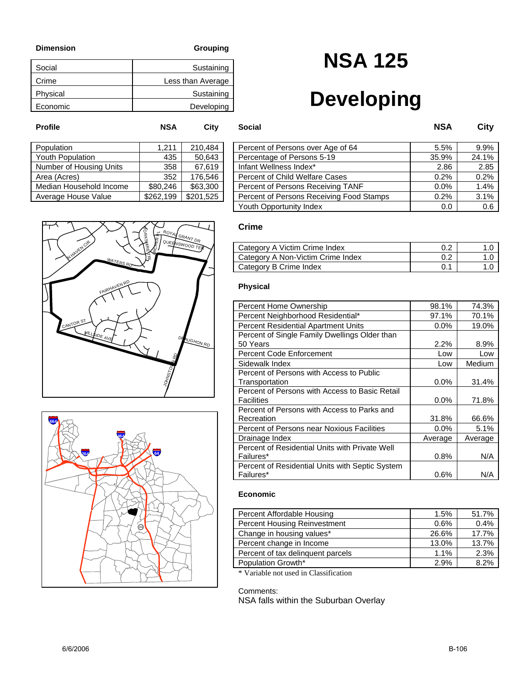N

≺

| Social   | Sustaining        |
|----------|-------------------|
| Crime    | Less than Average |
| Physical | Sustaining        |
| Economic | Developing        |

# **NSA 125**

# **Developing**

| Population              | 1,211     | 210,484   |
|-------------------------|-----------|-----------|
| <b>Youth Population</b> | 435       | 50,643    |
| Number of Housing Units | 358       | 67,619    |
| Area (Acres)            | 352       | 176,546   |
| Median Household Income | \$80,246  | \$63,300  |
| Average House Value     | \$262,199 | \$201,525 |
|                         |           |           |

| Population              | 1.211     | 210.484   | Percent of Persons over Age of 64        | 5.5%  | 9.9%  |
|-------------------------|-----------|-----------|------------------------------------------|-------|-------|
| Youth Population        | 435       | 50,643    | Percentage of Persons 5-19               | 35.9% | 24.1% |
| Number of Housing Units | 358       | 67,619    | Infant Wellness Index*                   | 2.86  | 2.85  |
| Area (Acres)            | 352       | 176.546   | Percent of Child Welfare Cases           | 0.2%  | 0.2%  |
| Median Household Income | \$80,246  | \$63,300  | Percent of Persons Receiving TANF        | 0.0%  | 1.4%  |
| Average House Value     | \$262,199 | \$201,525 | Percent of Persons Receiving Food Stamps | 0.2%  | 3.1%  |
|                         |           |           | Youth Opportunity Index                  | 0.0   | 0.6   |



JOHNSTOWN RD



### **Crime**

**Profile NSA City Social NSA City**

| Category A Victim Crime Index     |  |
|-----------------------------------|--|
| Category A Non-Victim Crime Index |  |
| Category B Crime Index            |  |

#### **Physical**

| Percent Home Ownership                          | 98.1%   | 74.3%   |
|-------------------------------------------------|---------|---------|
| Percent Neighborhood Residential*               | 97.1%   | 70.1%   |
| <b>Percent Residential Apartment Units</b>      | $0.0\%$ | 19.0%   |
| Percent of Single Family Dwellings Older than   |         |         |
| 50 Years                                        | 2.2%    | 8.9%    |
| <b>Percent Code Enforcement</b>                 | Low     | Low     |
| Sidewalk Index                                  | Low     | Medium  |
| Percent of Persons with Access to Public        |         |         |
| Transportation                                  | 0.0%    | 31.4%   |
| Percent of Persons with Access to Basic Retail  |         |         |
| <b>Facilities</b>                               | 0.0%    | 71.8%   |
| Percent of Persons with Access to Parks and     |         |         |
| Recreation                                      | 31.8%   | 66.6%   |
| Percent of Persons near Noxious Facilities      | $0.0\%$ | 5.1%    |
| Drainage Index                                  | Average | Average |
| Percent of Residential Units with Private Well  |         |         |
| Failures*                                       | 0.8%    | N/A     |
| Percent of Residential Units with Septic System |         |         |
| Failures*                                       | 0.6%    | N/A     |

### **Economic**

| Percent Affordable Housing        | 1.5%  | 51.7% |
|-----------------------------------|-------|-------|
| Percent Housing Reinvestment      | 0.6%  | 0.4%  |
| Change in housing values*         | 26.6% | 17.7% |
| Percent change in Income          | 13.0% | 13.7% |
| Percent of tax delinguent parcels | 1.1%  | 2.3%  |
| Population Growth*                | 2.9%  | 8.2%  |

\* Variable not used in Classification

#### Comments: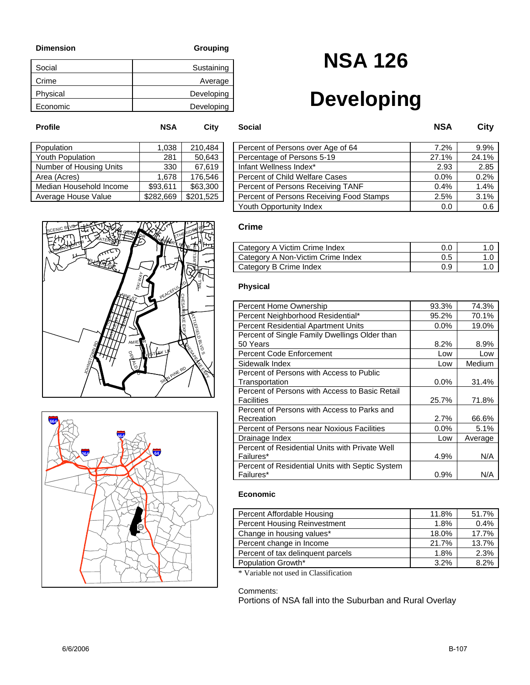| Social   | Sustaining |
|----------|------------|
| Crime    | Average    |
| Physical | Developing |
| Economic | Developing |

### **NSA 126**

## **Developing**

| Population              | 1,038     | 210,484   |
|-------------------------|-----------|-----------|
| Youth Population        | 281       | 50,643    |
| Number of Housing Units | 330       | 67,619    |
| Area (Acres)            | 1,678     | 176,546   |
| Median Household Income | \$93,611  | \$63,300  |
| Average House Value     | \$282,669 | \$201,525 |
|                         |           |           |

| Population              | 0.038     | 210.484   | Percent of Persons over Age of 64        | 7.2%  | 9.9%  |
|-------------------------|-----------|-----------|------------------------------------------|-------|-------|
| Youth Population        | 281       | 50,643    | Percentage of Persons 5-19               | 27.1% | 24.1% |
| Number of Housing Units | 330       | 67,619    | Infant Wellness Index*                   | 2.93  | 2.85  |
| Area (Acres)            | 1.678     | 176,546   | Percent of Child Welfare Cases           | 0.0%  | 0.2%  |
| Median Household Income | \$93.611  | \$63,300  | Percent of Persons Receiving TANF        | 0.4%  | 1.4%  |
| Average House Value     | \$282,669 | \$201,525 | Percent of Persons Receiving Food Stamps | 2.5%  | 3.1%  |
|                         |           |           | Youth Opportunity Index                  | 0.0   | 0.6   |





### **Crime**

**Profile NSA City Social NSA City**

| Category A Victim Crime Index     | 0.C |  |
|-----------------------------------|-----|--|
| Category A Non-Victim Crime Index | 0.5 |  |
| Category B Crime Index            | 0.9 |  |

#### **Physical**

| Percent Home Ownership                          | 93.3%   | 74.3%   |
|-------------------------------------------------|---------|---------|
| Percent Neighborhood Residential*               | 95.2%   | 70.1%   |
| <b>Percent Residential Apartment Units</b>      | $0.0\%$ | 19.0%   |
| Percent of Single Family Dwellings Older than   |         |         |
| 50 Years                                        | 8.2%    | 8.9%    |
| <b>Percent Code Enforcement</b>                 | Low     | Low     |
| Sidewalk Index                                  | Low     | Medium  |
| Percent of Persons with Access to Public        |         |         |
| Transportation                                  | 0.0%    | 31.4%   |
| Percent of Persons with Access to Basic Retail  |         |         |
| <b>Facilities</b>                               | 25.7%   | 71.8%   |
| Percent of Persons with Access to Parks and     |         |         |
| Recreation                                      | 2.7%    | 66.6%   |
| Percent of Persons near Noxious Facilities      | $0.0\%$ | 5.1%    |
| Drainage Index                                  | Low     | Average |
| Percent of Residential Units with Private Well  |         |         |
| Failures*                                       | 4.9%    | N/A     |
| Percent of Residential Units with Septic System |         |         |
| Failures*                                       | $0.9\%$ | N/A     |

#### **Economic**

| Percent Affordable Housing        | 11.8% | 51.7% |
|-----------------------------------|-------|-------|
| Percent Housing Reinvestment      | 1.8%  | 0.4%  |
| Change in housing values*         | 18.0% | 17.7% |
| Percent change in Income          | 21.7% | 13.7% |
| Percent of tax delinguent parcels | 1.8%  | 2.3%  |
| Population Growth*                | 3.2%  | 8.2%  |

\* Variable not used in Classification

#### Comments:

Portions of NSA fall into the Suburban and Rural Overlay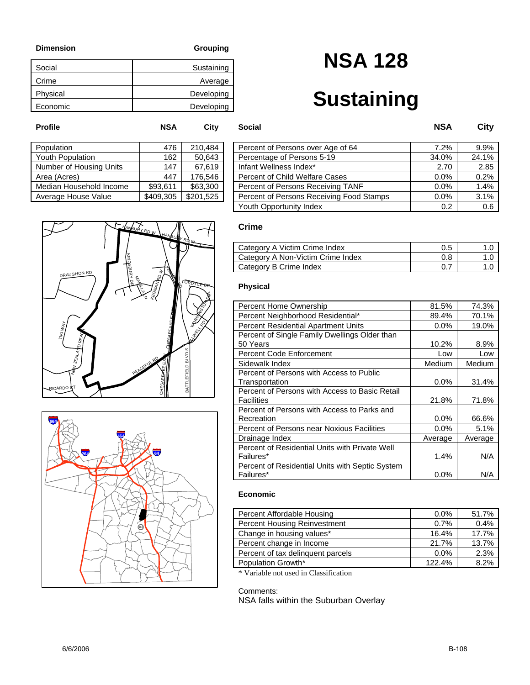| Social   | Sustaining |
|----------|------------|
| Crime    | Average    |
| Physical | Developing |
| Economic | Developing |

# **NSA 128**

### **Sustaining**

| Population              | 476       | 210,484   |
|-------------------------|-----------|-----------|
| Youth Population        | 162       | 50.643    |
| Number of Housing Units | 147       | 67,619    |
| Area (Acres)            | 447       | 176,546   |
| Median Household Income | \$93,611  | \$63,300  |
| Average House Value     | \$409,305 | \$201,525 |
|                         |           |           |

| Population              | 476       | 210.484   | Percent of Persons over Age of 64        | 7.2%  | 9.9%  |
|-------------------------|-----------|-----------|------------------------------------------|-------|-------|
| Youth Population        | 162       | 50,643    | Percentage of Persons 5-19               | 34.0% | 24.1% |
| Number of Housing Units | 147       | 67,619    | Infant Wellness Index*                   | 2.70  | 2.85  |
| Area (Acres)            | 447       | 176,546   | <b>Percent of Child Welfare Cases</b>    | 0.0%  | 0.2%  |
| Median Household Income | \$93.611  | \$63,300  | Percent of Persons Receiving TANF        | 0.0%  | 1.4%  |
| Average House Value     | \$409,305 | \$201.525 | Percent of Persons Receiving Food Stamps | 0.0%  | 3.1%  |
|                         |           |           | Youth Opportunity Index                  | 0.2   | 0.6   |

#### HANBURY RD <sup>W</sup>  $HANBUHY$ RD W KINGSBURY KEGMAN RD. DRAUGHON RD **KEGMAN RD W** E<br>Maria g FORDYCE DR WORK DIE LN CHESAPEAKE EXAV HILL RD. TIKI WAY NEW ZEALAND REACH BATTLEFIELD BLVD S  $\epsilon$ CHESAPEAKE EX PEACEFUL RD  $\overline{\alpha}$ BATTLEFIELD RICARDO **C**T



### **Crime**

**Profile NSA City Social NSA City**

| Category A Victim Crime Index     | 0.5 |  |
|-----------------------------------|-----|--|
| Category A Non-Victim Crime Index | 0.8 |  |
| Category B Crime Index            |     |  |

#### **Physical**

| Percent Home Ownership                          | 81.5%   | 74.3%   |
|-------------------------------------------------|---------|---------|
| Percent Neighborhood Residential*               | 89.4%   | 70.1%   |
| <b>Percent Residential Apartment Units</b>      | $0.0\%$ | 19.0%   |
| Percent of Single Family Dwellings Older than   |         |         |
| 50 Years                                        | 10.2%   | 8.9%    |
| <b>Percent Code Enforcement</b>                 | Low     | Low     |
| Sidewalk Index                                  | Medium  | Medium  |
| Percent of Persons with Access to Public        |         |         |
| Transportation                                  | $0.0\%$ | 31.4%   |
| Percent of Persons with Access to Basic Retail  |         |         |
| <b>Facilities</b>                               | 21.8%   | 71.8%   |
| Percent of Persons with Access to Parks and     |         |         |
| Recreation                                      | $0.0\%$ | 66.6%   |
| Percent of Persons near Noxious Facilities      | $0.0\%$ | 5.1%    |
| Drainage Index                                  | Average | Average |
| Percent of Residential Units with Private Well  |         |         |
| Failures*                                       | 1.4%    | N/A     |
| Percent of Residential Units with Septic System |         |         |
| Failures*                                       | $0.0\%$ | N/A     |

### **Economic**

| Percent Affordable Housing        | $0.0\%$ | 51.7% |
|-----------------------------------|---------|-------|
| Percent Housing Reinvestment      | 0.7%    | 0.4%  |
| Change in housing values*         | 16.4%   | 17.7% |
| Percent change in Income          | 21.7%   | 13.7% |
| Percent of tax delinguent parcels | $0.0\%$ | 2.3%  |
| Population Growth*                | 122.4%  | 8.2%  |

\* Variable not used in Classification

#### Comments: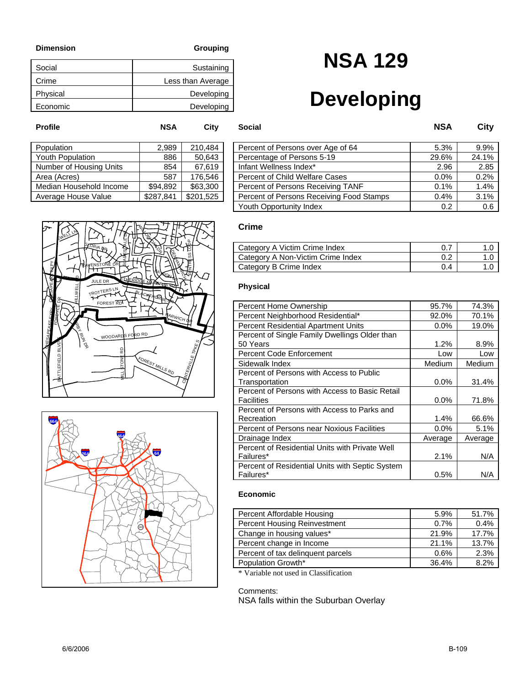| Social   | Sustaining        |
|----------|-------------------|
| Crime    | Less than Average |
| Physical | Developing        |
| Economic | Developing        |

# **NSA 129**

## **Developing**

| Population              | 2,989     | 210,484   |
|-------------------------|-----------|-----------|
| <b>Youth Population</b> | 886       | 50,643    |
| Number of Housing Units | 854       | 67,619    |
| Area (Acres)            | 587       | 176,546   |
| Median Household Income | \$94.892  | \$63,300  |
| Average House Value     | \$287,841 | \$201,525 |
|                         |           |           |

| Population              | 2.989     | 210.484   | Percent of Persons over Age of 64        | 5.3%  | 9.9%  |
|-------------------------|-----------|-----------|------------------------------------------|-------|-------|
| Youth Population        | 886       | 50,643    | Percentage of Persons 5-19               | 29.6% | 24.1% |
| Number of Housing Units | 854       | 67,619    | Infant Wellness Index*                   | 2.96  | 2.85  |
| Area (Acres)            | 587       | 176,546   | <b>Percent of Child Welfare Cases</b>    | 0.0%  | 0.2%  |
| Median Household Income | \$94.892  | \$63,300  | Percent of Persons Receiving TANF        | 0.1%  | 1.4%  |
| Average House Value     | \$287,841 | \$201,525 | Percent of Persons Receiving Food Stamps | 0.4%  | 3.1%  |
|                         |           |           | Youth Opportunity Index                  | 0.2   | 0.6   |





### **Crime**

**Profile NSA City Social NSA City**

| Category A Victim Crime Index     |     |  |
|-----------------------------------|-----|--|
| Category A Non-Victim Crime Index | 0.2 |  |
| Category B Crime Index            | 0.4 |  |

#### **Physical**

| Percent Home Ownership                          | 95.7%   | 74.3%   |
|-------------------------------------------------|---------|---------|
| Percent Neighborhood Residential*               | 92.0%   | 70.1%   |
| <b>Percent Residential Apartment Units</b>      | $0.0\%$ | 19.0%   |
| Percent of Single Family Dwellings Older than   |         |         |
| 50 Years                                        | 1.2%    | 8.9%    |
| <b>Percent Code Enforcement</b>                 | Low     | Low     |
| Sidewalk Index                                  | Medium  | Medium  |
| Percent of Persons with Access to Public        |         |         |
| Transportation                                  | 0.0%    | 31.4%   |
| Percent of Persons with Access to Basic Retail  |         |         |
| Facilities                                      | $0.0\%$ | 71.8%   |
| Percent of Persons with Access to Parks and     |         |         |
| Recreation                                      | 1.4%    | 66.6%   |
| Percent of Persons near Noxious Facilities      | $0.0\%$ | 5.1%    |
| Drainage Index                                  | Average | Average |
| Percent of Residential Units with Private Well  |         |         |
| Failures*                                       | 2.1%    | N/A     |
| Percent of Residential Units with Septic System |         |         |
| Failures*                                       | 0.5%    | N/A     |

### **Economic**

| Percent Affordable Housing        | 5.9%  | 51.7% |
|-----------------------------------|-------|-------|
| Percent Housing Reinvestment      | 0.7%  | 0.4%  |
| Change in housing values*         | 21.9% | 17.7% |
| Percent change in Income          | 21.1% | 13.7% |
| Percent of tax delinguent parcels | 0.6%  | 2.3%  |
| Population Growth*                | 36.4% | 8.2%  |

\* Variable not used in Classification

#### Comments: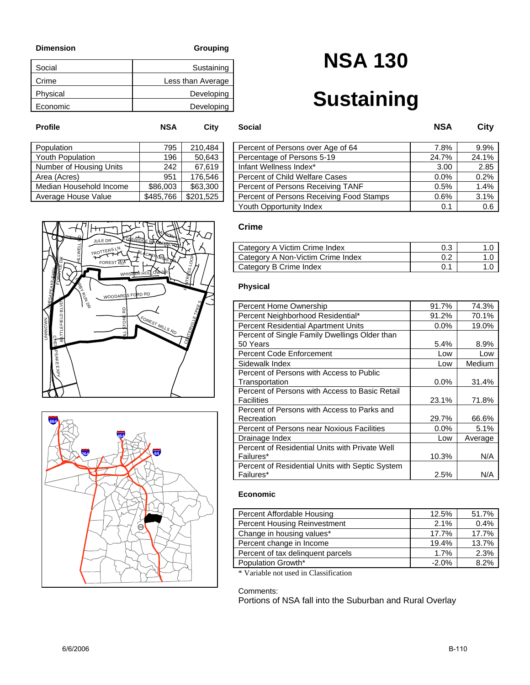| Sustaining        |
|-------------------|
| Less than Average |
| Developing        |
| Developing        |
|                   |

# **NSA 130**

# **Sustaining**

| Population              | 795       | 210,484   |
|-------------------------|-----------|-----------|
| <b>Youth Population</b> | 196       | 50,643    |
| Number of Housing Units | 242       | 67,619    |
| Area (Acres)            | 951       | 176.546   |
| Median Household Income | \$86,003  | \$63,300  |
| Average House Value     | \$485,766 | \$201,525 |
|                         |           |           |

| Population              | 795       | 210.484   |                         | Percent of Persons over Age of 64        | 7.8%  | 9.9%  |
|-------------------------|-----------|-----------|-------------------------|------------------------------------------|-------|-------|
| Youth Population        | 196       | 50,643    |                         | Percentage of Persons 5-19               | 24.7% | 24.1% |
| Number of Housing Units | 242       | 67,619    | Infant Wellness Index*  |                                          | 3.00  | 2.85  |
| Area (Acres)            | 951       | 176.546   |                         | Percent of Child Welfare Cases           | 0.0%  | 0.2%  |
| Median Household Income | \$86,003  | \$63,300  |                         | Percent of Persons Receiving TANF        | 0.5%  | 1.4%  |
| Average House Value     | \$485,766 | \$201,525 |                         | Percent of Persons Receiving Food Stamps | 0.6%  | 3.1%  |
|                         |           |           | Youth Opportunity Index |                                          | 0.1   | 0.6   |





### **Crime**

**Profile NSA City Social NSA City**

| Category A Victim Crime Index     | 0.3 |  |
|-----------------------------------|-----|--|
| Category A Non-Victim Crime Index |     |  |
| Category B Crime Index            |     |  |

#### **Physical**

| Percent Home Ownership                          | 91.7%   | 74.3%   |
|-------------------------------------------------|---------|---------|
| Percent Neighborhood Residential*               | 91.2%   | 70.1%   |
| <b>Percent Residential Apartment Units</b>      | $0.0\%$ | 19.0%   |
| Percent of Single Family Dwellings Older than   |         |         |
| 50 Years                                        | 5.4%    | 8.9%    |
| <b>Percent Code Enforcement</b>                 | Low     | Low     |
| Sidewalk Index                                  | Low     | Medium  |
| Percent of Persons with Access to Public        |         |         |
| Transportation                                  | 0.0%    | 31.4%   |
| Percent of Persons with Access to Basic Retail  |         |         |
| <b>Facilities</b>                               | 23.1%   | 71.8%   |
| Percent of Persons with Access to Parks and     |         |         |
| Recreation                                      | 29.7%   | 66.6%   |
| Percent of Persons near Noxious Facilities      | $0.0\%$ | 5.1%    |
| Drainage Index                                  | Low     | Average |
| Percent of Residential Units with Private Well  |         |         |
| Failures*                                       | 10.3%   | N/A     |
| Percent of Residential Units with Septic System |         |         |
| Failures*                                       | 2.5%    | N/A     |

### **Economic**

| Percent Affordable Housing        | 12.5%   | 51.7% |
|-----------------------------------|---------|-------|
| Percent Housing Reinvestment      | 2.1%    | 0.4%  |
| Change in housing values*         | 17.7%   | 17.7% |
| Percent change in Income          | 19.4%   | 13.7% |
| Percent of tax delinguent parcels | 1.7%    | 2.3%  |
| Population Growth*                | $-2.0%$ | 8.2%  |

\* Variable not used in Classification

#### Comments:

Portions of NSA fall into the Suburban and Rural Overlay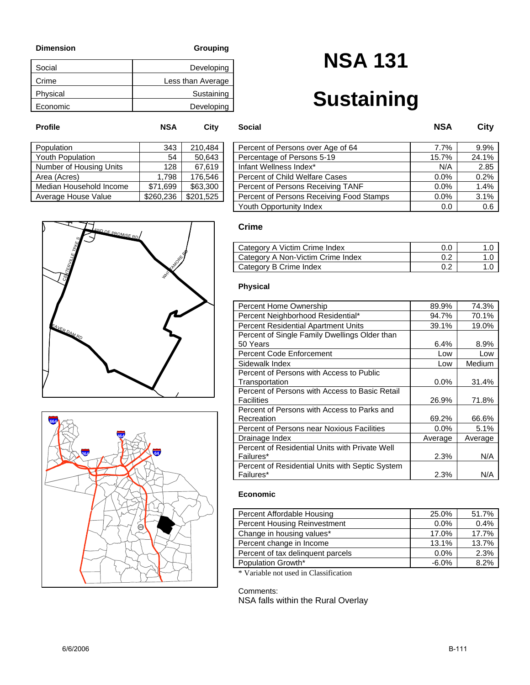| Social   | Developing        |
|----------|-------------------|
| Crime    | Less than Average |
| Physical | Sustaining        |
| Economic | Developing        |

# **NSA 131**

# **Sustaining**

| Population              | 343       | 210,484   |
|-------------------------|-----------|-----------|
| <b>Youth Population</b> | 54        | 50.643    |
| Number of Housing Units | 128       | 67,619    |
| Area (Acres)            | 1.798     | 176,546   |
| Median Household Income | \$71,699  | \$63,300  |
| Average House Value     | \$260,236 | \$201,525 |
|                         |           |           |

| Population              | 343       | 210.484   | Percent of Persons over Age of 64        | 7.7%  | $9.9\%$  |
|-------------------------|-----------|-----------|------------------------------------------|-------|----------|
| Youth Population        | 54        | 50,643    | Percentage of Persons 5-19               | 15.7% | $24.1\%$ |
| Number of Housing Units | 128.      | 67.619    | Infant Wellness Index*                   | N/A   | 2.85     |
| Area (Acres)            | 1.798     | 176,546   | <b>Percent of Child Welfare Cases</b>    | 0.0%  | 0.2%     |
| Median Household Income | \$71.699  | \$63,300  | Percent of Persons Receiving TANF        | 0.0%  | $1.4\%$  |
| Average House Value     | \$260.236 | \$201.525 | Percent of Persons Receiving Food Stamps | 0.0%  | 3.1%     |
|                         |           |           | Youth Opportunity Index                  | 0.0   | 0.6      |

### **Crime**

**Profile NSA City Social NSA City**

| Category A Victim Crime Index     | 0.C |  |
|-----------------------------------|-----|--|
| Category A Non-Victim Crime Index |     |  |
| Category B Crime Index            |     |  |

#### **Physical**

| Percent Home Ownership                          | 89.9%   | 74.3%   |
|-------------------------------------------------|---------|---------|
| Percent Neighborhood Residential*               | 94.7%   | 70.1%   |
| <b>Percent Residential Apartment Units</b>      | 39.1%   | 19.0%   |
| Percent of Single Family Dwellings Older than   |         |         |
| 50 Years                                        | 6.4%    | 8.9%    |
| <b>Percent Code Enforcement</b>                 | Low     | Low     |
| Sidewalk Index                                  | Low     | Medium  |
| Percent of Persons with Access to Public        |         |         |
| Transportation                                  | $0.0\%$ | 31.4%   |
| Percent of Persons with Access to Basic Retail  |         |         |
| <b>Facilities</b>                               | 26.9%   | 71.8%   |
| Percent of Persons with Access to Parks and     |         |         |
| Recreation                                      | 69.2%   | 66.6%   |
| Percent of Persons near Noxious Facilities      | $0.0\%$ | 5.1%    |
| Drainage Index                                  | Average | Average |
| Percent of Residential Units with Private Well  |         |         |
| Failures*                                       | 2.3%    | N/A     |
| Percent of Residential Units with Septic System |         |         |
| Failures*                                       | 2.3%    | N/A     |

### **Economic**

| Percent Affordable Housing        | 25.0%   | 51.7% |
|-----------------------------------|---------|-------|
| Percent Housing Reinvestment      | $0.0\%$ | 0.4%  |
| Change in housing values*         | 17.0%   | 17.7% |
| Percent change in Income          | 13.1%   | 13.7% |
| Percent of tax delinquent parcels | $0.0\%$ | 2.3%  |
| Population Growth*                | $-6.0%$ | 8.2%  |

\* Variable not used in Classification

#### Comments:



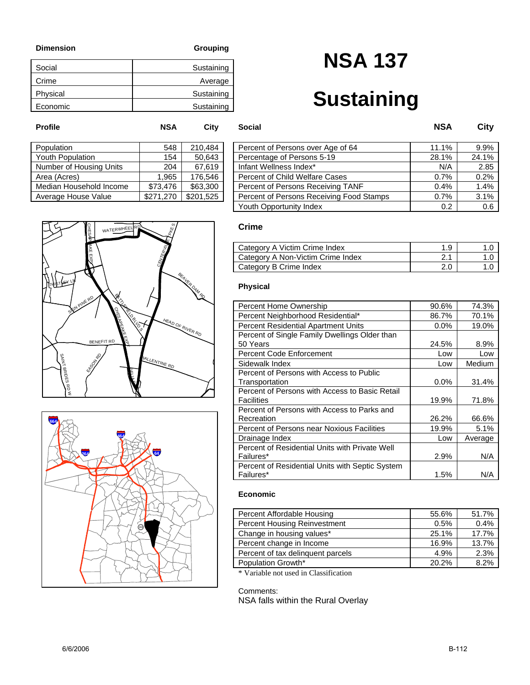| Social   | Sustaining |
|----------|------------|
| Crime    | Average    |
| Physical | Sustaining |
| Economic | Sustaining |

# **NSA 137**

# **Sustaining**

| Population              | 548       | 210,484   |
|-------------------------|-----------|-----------|
| Youth Population        | 154       | 50.643    |
| Number of Housing Units | 204       | 67,619    |
| Area (Acres)            | 1,965     | 176,546   |
| Median Household Income | \$73,476  | \$63,300  |
| Average House Value     | \$271,270 | \$201,525 |
|                         |           |           |

| Population              | 548       | 210.484   | Percent of Persons over Age of 64        | 11.1% | 9.9%  |
|-------------------------|-----------|-----------|------------------------------------------|-------|-------|
| Youth Population        | 154       | 50,643    | Percentage of Persons 5-19               | 28.1% | 24.1% |
| Number of Housing Units | 204       | 67,619    | Infant Wellness Index*                   | N/A   | 2.85  |
| Area (Acres)            | 1.965     | 176,546   | <b>Percent of Child Welfare Cases</b>    | 0.7%  | 0.2%  |
| Median Household Income | \$73.476  | \$63,300  | Percent of Persons Receiving TANF        | 0.4%  | 1.4%  |
| Average House Value     | \$271,270 | \$201,525 | Percent of Persons Receiving Food Stamps | 0.7%  | 3.1%  |
|                         |           |           | Youth Opportunity Index                  | 0.2   | 0.6   |

### **Crime**

**Profile NSA City Social NSA City**

| Category A Victim Crime Index     | 1.9 |  |
|-----------------------------------|-----|--|
| Category A Non-Victim Crime Index | 2.1 |  |
| Category B Crime Index            |     |  |

#### **Physical**

| Percent Home Ownership                          | 90.6%   | 74.3%   |
|-------------------------------------------------|---------|---------|
| Percent Neighborhood Residential*               | 86.7%   | 70.1%   |
| <b>Percent Residential Apartment Units</b>      | 0.0%    | 19.0%   |
| Percent of Single Family Dwellings Older than   |         |         |
| 50 Years                                        | 24.5%   | 8.9%    |
| <b>Percent Code Enforcement</b>                 | Low     | Low     |
| Sidewalk Index                                  | Low     | Medium  |
| Percent of Persons with Access to Public        |         |         |
| Transportation                                  | $0.0\%$ | 31.4%   |
| Percent of Persons with Access to Basic Retail  |         |         |
| <b>Facilities</b>                               | 19.9%   | 71.8%   |
| Percent of Persons with Access to Parks and     |         |         |
| Recreation                                      | 26.2%   | 66.6%   |
| Percent of Persons near Noxious Facilities      | 19.9%   | 5.1%    |
| Drainage Index                                  | Low     | Average |
| Percent of Residential Units with Private Well  |         |         |
| Failures*                                       | 2.9%    | N/A     |
| Percent of Residential Units with Septic System |         |         |
| Failures*                                       | 1.5%    | N/A     |

### **Economic**

| Percent Affordable Housing        | 55.6% | 51.7% |
|-----------------------------------|-------|-------|
| Percent Housing Reinvestment      | 0.5%  | 0.4%  |
| Change in housing values*         | 25.1% | 17.7% |
| Percent change in Income          | 16.9% | 13.7% |
| Percent of tax delinquent parcels | 4.9%  | 2.3%  |
| Population Growth*                | 20.2% | 8.2%  |

\* Variable not used in Classification

Comments:



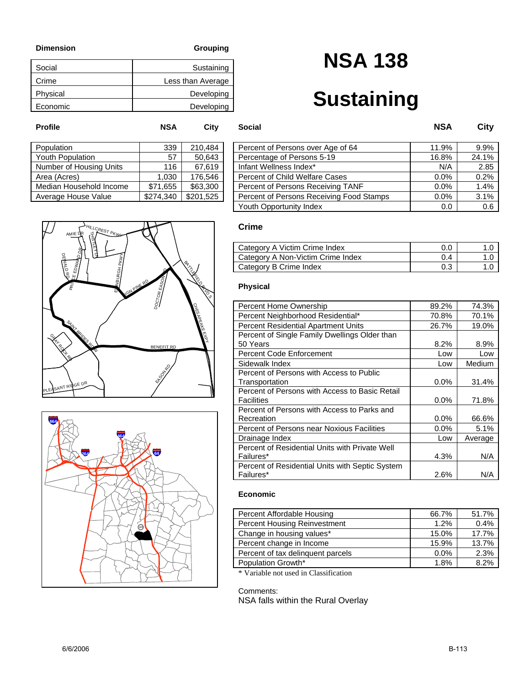| Social   | Sustaining        |
|----------|-------------------|
| Crime    | Less than Average |
| Physical | Developing        |
| Economic | Developing        |

# **NSA 138**

## **Sustaining**

| Population              | 339       | 210,484   |
|-------------------------|-----------|-----------|
| <b>Youth Population</b> | 57        | 50.643    |
| Number of Housing Units | 116       | 67,619    |
| Area (Acres)            | 1,030     | 176.546   |
| Median Household Income | \$71,655  | \$63,300  |
| Average House Value     | \$274,340 | \$201,525 |
|                         |           |           |

| Population              | 339       | 210.484   | Percent of Persons over Age of 64        | 11.9% | 9.9%  |
|-------------------------|-----------|-----------|------------------------------------------|-------|-------|
| Youth Population        | 57        | 50,643    | Percentage of Persons 5-19               | 16.8% | 24.1% |
| Number of Housing Units | 116       | 67.619    | Infant Wellness Index*                   | N/A   | 2.85  |
| Area (Acres)            | 1.030     | 176,546   | Percent of Child Welfare Cases           | 0.0%  | 0.2%  |
| Median Household Income | \$71,655  | \$63,300  | Percent of Persons Receiving TANF        | 0.0%  | 1.4%  |
| Average House Value     | \$274,340 | \$201,525 | Percent of Persons Receiving Food Stamps | 0.0%  | 3.1%  |
|                         |           |           | Youth Opportunity Index                  | 0.0   | 0.6   |

#### NEFIT RD CHESAPEAKER EXPY **NGN PINE RD** SANT BRIDES EAS<sup>R</sup> B<br>BATTLEBERG ET MBURGH PKWY E<br>T LN ANT RIDGE PRINCE EDWARD DR GRAY ROCK RD OCT<sub>OR</sub> DEWALD RD AMIE HILLCREST PKWY DR



### **Crime**

**Profile NSA City Social NSA City**

| Category A Victim Crime Index     | 0.0 |  |
|-----------------------------------|-----|--|
| Category A Non-Victim Crime Index | 0.4 |  |
| Category B Crime Index            | 0.3 |  |

### **Physical**

| Percent Home Ownership                          | 89.2%   | 74.3%   |
|-------------------------------------------------|---------|---------|
| Percent Neighborhood Residential*               | 70.8%   | 70.1%   |
| <b>Percent Residential Apartment Units</b>      | 26.7%   | 19.0%   |
| Percent of Single Family Dwellings Older than   |         |         |
| 50 Years                                        | 8.2%    | 8.9%    |
| <b>Percent Code Enforcement</b>                 | Low     | Low     |
| Sidewalk Index                                  | Low     | Medium  |
| Percent of Persons with Access to Public        |         |         |
| Transportation                                  | $0.0\%$ | 31.4%   |
| Percent of Persons with Access to Basic Retail  |         |         |
| Facilities                                      | $0.0\%$ | 71.8%   |
| Percent of Persons with Access to Parks and     |         |         |
| Recreation                                      | $0.0\%$ | 66.6%   |
| Percent of Persons near Noxious Facilities      | $0.0\%$ | 5.1%    |
| Drainage Index                                  | Low     | Average |
| Percent of Residential Units with Private Well  |         |         |
| Failures*                                       | 4.3%    | N/A     |
| Percent of Residential Units with Septic System |         |         |
| Failures*                                       | 2.6%    | N/A     |

### **Economic**

| Percent Affordable Housing        | 66.7%   | 51.7% |
|-----------------------------------|---------|-------|
| Percent Housing Reinvestment      | 1.2%    | 0.4%  |
| Change in housing values*         | 15.0%   | 17.7% |
| Percent change in Income          | 15.9%   | 13.7% |
| Percent of tax delinguent parcels | $0.0\%$ | 2.3%  |
| Population Growth*                | 1.8%    | 8.2%  |

\* Variable not used in Classification

#### Comments: